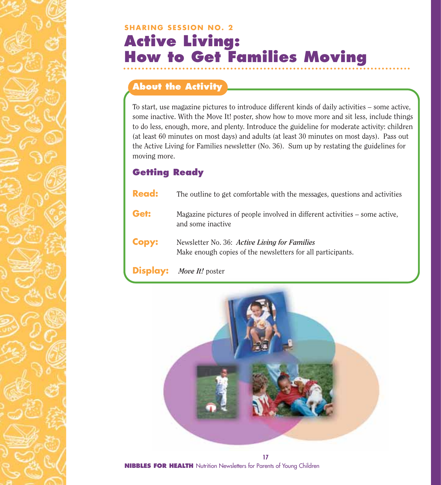## **SHARING SESSION NO. 2 Active Living: How to Get Families Moving**

#### **About the Activity**

To start, use magazine pictures to introduce different kinds of daily activities – some active, some inactive. With the Move It! poster, show how to move more and sit less, include things to do less, enough, more, and plenty. Introduce the guideline for moderate activity: children (at least 60 minutes on most days) and adults (at least 30 minutes on most days). Pass out the Active Living for Families newsletter (No. 36). Sum up by restating the guidelines for moving more.

### **Getting Ready**

| <b>Read:</b> | The outline to get comfortable with the messages, questions and activities                                   |
|--------------|--------------------------------------------------------------------------------------------------------------|
| Get:         | Magazine pictures of people involved in different activities – some active,<br>and some inactive             |
| <b>Copy:</b> | Newsletter No. 36: Active Living for Families<br>Make enough copies of the newsletters for all participants. |
|              | <b>Display:</b> Move It! poster                                                                              |

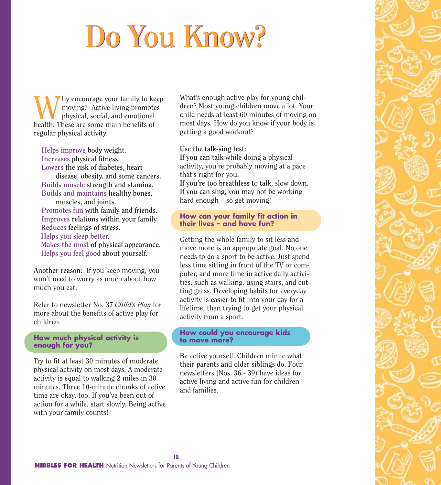# **Do You Know? Do You Know?**

We encourage your family to keep<br>moving? Active living promotes<br>health These are some main benefits of moving? Active living promotes physical, social, and emotional health. These are some main benefits of regular physical activity.

**Helps improve body weight. Increases physical fitness. Lowers the risk of diabetes, heart disease, obesity, and some cancers. Builds muscle strength and stamina. Builds and maintains healthy bones, muscles, and joints. Promotes fun with family and friends. Improves relations within your family.**

**Reduces feelings of stress. Helps you sleep better. Makes the most of physical appearance. Helps you feel good about yourself.**

**Another reason:** If you keep moving, you won't need to worry as much about how much you eat.

Refer to newsletter No. 37 *Child's Play* for more about the benefits of active play for children.

#### **How much physical activity is enough for you?**

Try to fit at least 30 minutes of moderate physical activity on most days. A moderate activity is equal to walking 2 miles in 30 minutes. Three 10-minute chunks of active time are okay, too. If you've been out of action for a while, start slowly. Being active with your family counts!

What's enough active play for young children? Most young children move a lot. Your child needs at least 60 minutes of moving on most days. How do you know if your body is getting a good workout?

**Use the talk-sing test: If you can talk** while doing a physical activity, you're probably moving at a pace that's right for you.

**If you're too breathless** to talk, slow down. **If you can sing**, you may not be working hard enough – so get moving!

#### **How can your family fit action in their lives – and have fun?**

Getting the whole family to sit less and move more is an appropriate goal. No one needs to do a sport to be active. Just spend less time sitting in front of the TV or computer, and more time in active daily activities, such as walking, using stairs, and cutting grass. Developing habits for everyday activity is easier to fit into your day for a lifetime, than trying to get your physical activity from a sport.

#### **How could you encourage kids to move more?**

Be active yourself. Children mimic what their parents and older siblings do. Four newsletters (Nos. 36 - 39) have ideas for active living and active fun for children and families.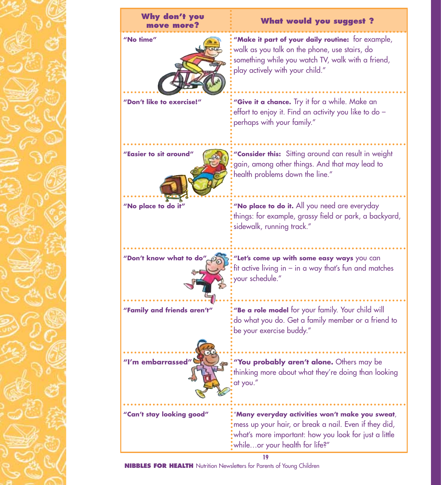

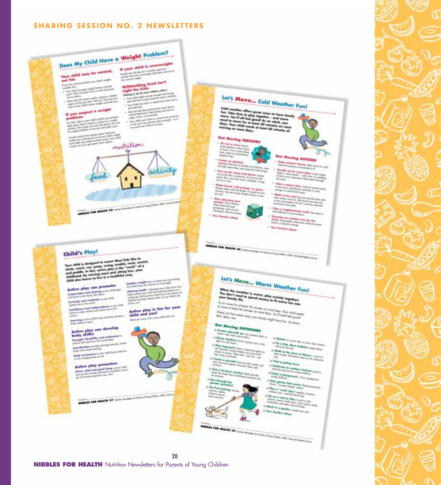#### **SHARING SESSION NO. 2 NEWSLETTERS**

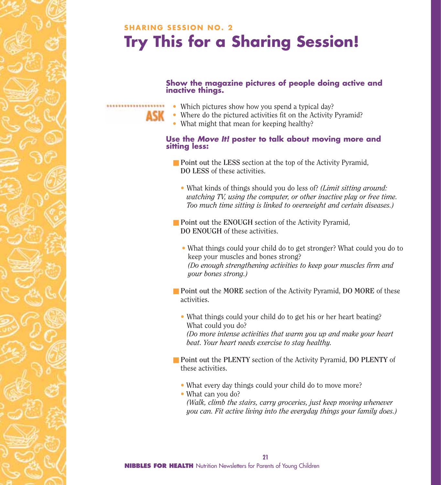## **SHARING SESSION NO. 2 Try This for a Sharing Session!**

#### **Show the magazine pictures of people doing active and inactive things.**

- Which pictures show how you spend a typical day?
- Where do the pictured activities fit on the Activity Pyramid?
- What might that mean for keeping healthy?

\*\*\*\*\*\*\*\*\*\*\*\*\*\*\*\*\*\*\*\*

## **Use the** *Move It!* **poster to talk about moving more and sitting less:**

- **Point out** the LESS section at the top of the Activity Pyramid, **DO LESS** of these activities.
	- What kinds of things should you do less of? *(Limit sitting around: watching TV, using the computer, or other inactive play or free time. Too much time sitting is linked to overweight and certain diseases.)*
- **Point out the ENOUGH** section of the Activity Pyramid, **DO ENOUGH** of these activities.
	- What things could your child do to get stronger? What could you do to keep your muscles and bones strong? *(Do enough strengthening activities to keep your muscles firm and your bones strong.)*
- **Point out** the MORE section of the Activity Pyramid, **DO MORE** of these activities.
	- What things could your child do to get his or her heart beating? What could you do? *(Do more intense activities that warm you up and make your heart beat. Your heart needs exercise to stay healthy.*
- **Point out the PLENTY** section of the Activity Pyramid, **DO PLENTY** of these activities.
	- What every day things could your child do to move more?
	- What can you do? *(Walk, climb the stairs, carry groceries, just keep moving whenever you can. Fit active living into the everyday things your family does.)*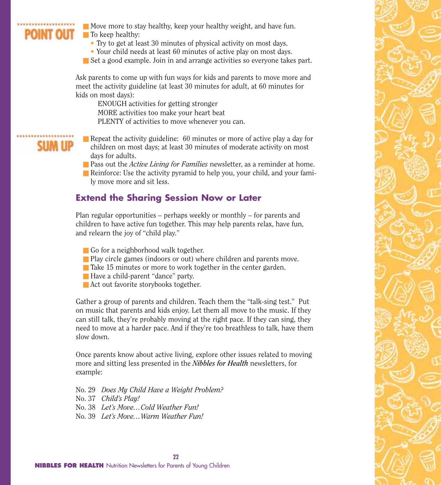## OINT OUT

 $\blacksquare$  Move more to stay healthy, keep your healthy weight, and have fun.

■ To keep healthy:

- Try to get at least 30 minutes of physical activity on most days.
- Your child needs at least 60 minutes of active play on most days.
- Set a good example. Join in and arrange activities so everyone takes part.

Ask parents to come up with fun ways for kids and parents to move more and meet the activity guideline (at least 30 minutes for adult, at 60 minutes for kids on most days):

ENOUGH activities for getting stronger MORE activities too make your heart beat PLENTY of activities to move whenever you can.

- Repeat the activity guideline: 60 minutes or more of active play a day for children on most days; at least 30 minutes of moderate activity on most days for adults.
- Pass out the *Active Living for Families* newsletter, as a reminder at home.
- Reinforce: Use the activity pyramid to help you, your child, and your family move more and sit less.

#### **Extend the Sharing Session Now or Later**

Plan regular opportunities – perhaps weekly or monthly – for parents and children to have active fun together. This may help parents relax, have fun, and relearn the joy of "child play."

- Go for a neighborhood walk together.
- Play circle games (indoors or out) where children and parents move.
- Take 15 minutes or more to work together in the center garden.
- Have a child-parent "dance" party.
- Act out favorite storybooks together.

Gather a group of parents and children. Teach them the "talk-sing test." Put on music that parents and kids enjoy. Let them all move to the music. If they can still talk, they're probably moving at the right pace. If they can sing, they need to move at a harder pace. And if they're too breathless to talk, have them slow down.

Once parents know about active living, explore other issues related to moving more and sitting less presented in the *Nibbles for Health* newsletters, for example:

No. 29 *Does My Child Have a Weight Problem?* No. 37 *Child's Play!* No. 38 *Let's Move…Cold Weather Fun!* No. 39 *Let's Move…Warm Weather Fun!*